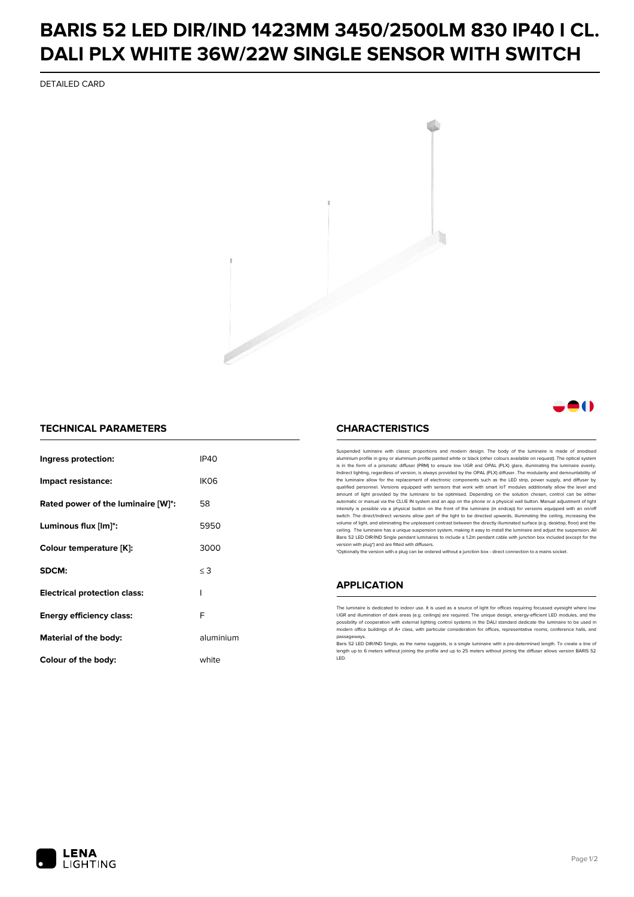## **BARIS 52 LED DIR/IND 1423MM 3450/2500LM 830 IP40 I CL. DALI PLX WHITE 36W/22W SINGLE SENSOR WITH SWITCH**

DETAILED CARD



### **A**O

#### **TECHNICAL PARAMETERS**

| Ingress protection:                 | IP40             |
|-------------------------------------|------------------|
| Impact resistance:                  | IK <sub>06</sub> |
| Rated power of the luminaire [W]*:  | 58               |
| Luminous flux [lm]*:                | 5950             |
| Colour temperature [K]:             | 3000             |
| SDCM:                               | $\leq$ 3         |
| <b>Electrical protection class:</b> | ı                |
| <b>Energy efficiency class:</b>     | F                |
| Material of the body:               | aluminium        |
| Colour of the body:                 | white            |

#### **CHARACTERISTICS**

Suspended luminaire with classic proportions and modern design. The body of the luminaire is made of an aluminium profile in grey or aluminium profile painted white or black (other colours available on request). The optical system is in the form of a prismatic diffuser (PRM) to ensure low UGR and OPAL (PLX) glare, illuminating the luminaire evenly.<br>Indirect lighting, regardless of version, is always provided by the OPAL (PLX) diffuser. The modularit the luminaire allow for the replacement of electronic components such as the LED strip, power supply, and diffuser by qualified personnel. Versions equipped with sensors that work with smart IoT modules additionally allow the level and amount of light provided by the luminaire to be optimised. Depending on the solution chosen, control can be either automatic or manual via the CLUE IN system and an app on the phone or a physical wall button. Manual adjustment of light<br>intensity is possible via a physical button on the front of the luminaire (in endcap) for versions eq switch. The direct/indirect versions allow part of the light to be directed upwards, illuminating the ceiling, increasing the volume of light, and eliminating the unpleasant contrast between the directly illuminated surface (e.g. desktop, floor) and the ceiling. The luminaire has a unique suspension system, making it easy to install the luminaire and adjust the suspension. All Baris 52 LED DIR/IND Single pendant Iuminaires to include a 1.2m pendant cable with junction box included (except for the<br>version with plug\*) and are fitted with diffusers.

\*Optionally the version with a plug can be ordered without a junction box - direct connection to a mains socket.

#### **APPLICATION**

The luminaire is dedicated to indoor use. It is used as a source of light for offices requiring focussed eyesight where low UGR and illumination of dark areas (e.g. ceilings) are required. The unique design, energy-efficient LED modules, and the<br>possibility of cooperation with external lighting control systems in the DALI standard dedicate the modern office buildings of A+ class, with particular consideration for offices, representative rooms, conference halls, and passage

Baris 52 LED DIR/IND Single, as the name suggests, is a single luminaire with a pre-determined length. To create a line of length up to 6 meters without joining the profile and up to 25 meters without joining the diffuser allows version BARIS 52 LED.